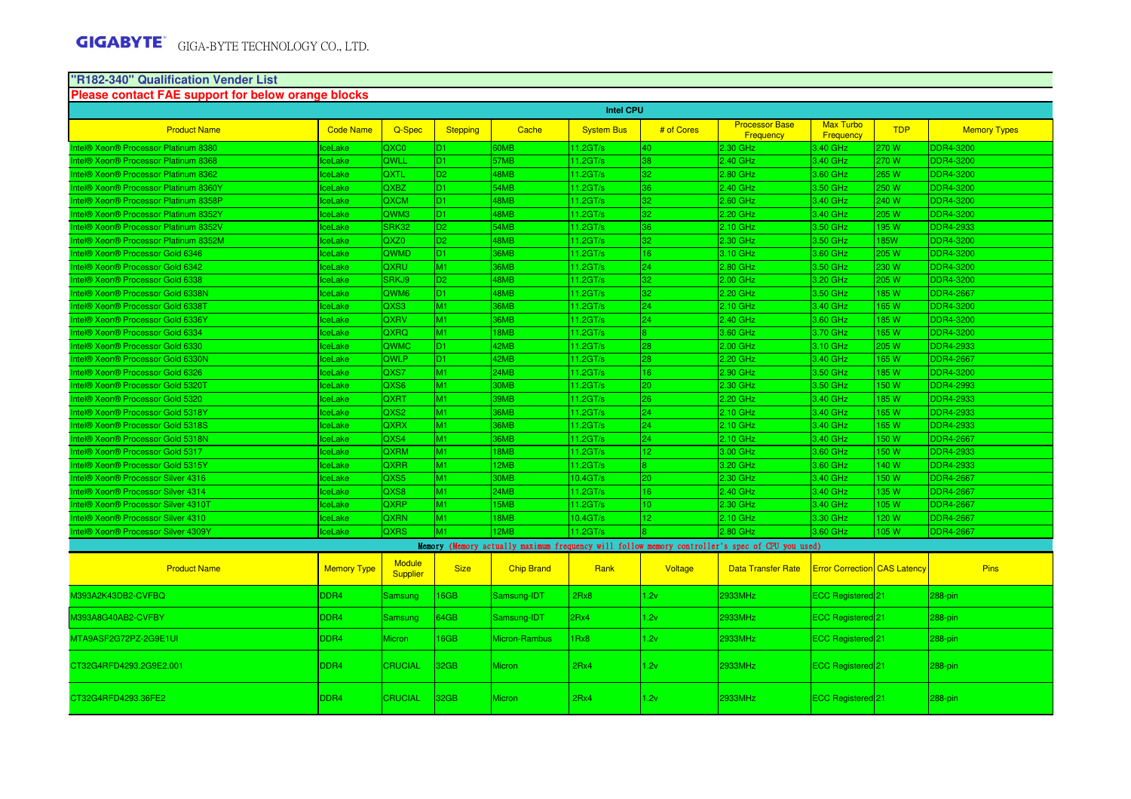# **"R182-340" Qualification Vender List Please contact FAE support for below orange blocks**

| <b>Ready Common Figure Support for Deformation of any process</b> |                    |                           |                 |                   | <b>Intel CPU</b>    |                 |                                                                                                 |                                     |             |                     |
|-------------------------------------------------------------------|--------------------|---------------------------|-----------------|-------------------|---------------------|-----------------|-------------------------------------------------------------------------------------------------|-------------------------------------|-------------|---------------------|
| <b>Product Name</b>                                               | <b>Code Name</b>   | Q-Spec                    | <b>Stepping</b> | Cache             | <b>System Bus</b>   | # of Cores      | <b>Processor Base</b><br><b>Frequency</b>                                                       | <b>Max Turbo</b><br>Frequency       | <b>TDP</b>  | <b>Memory Types</b> |
| ntel® Xeon® Processor Platinum 8380                               | <b>IceLake</b>     | QXC <sub>0</sub>          | D <sub>1</sub>  | 60MB              | 11.2GT/s            | 40              | 2.30 GHz                                                                                        | 3.40 GHz                            | 270 W       | <b>DDR4-3200</b>    |
| ntel® Xeon® Processor Platinum 8368                               | ceLake             | QWLL                      | D <sub>1</sub>  | 57MB              | 11.2GT/s            | 38              | 2.40 GHz                                                                                        | 3.40 GHz                            | 270 W       | <b>DDR4-3200</b>    |
| Intel® Xeon® Processor Platinum 8362                              | <b>IceLake</b>     | <b>QXTL</b>               | D <sub>2</sub>  | 48MB              | 11.2GT/s            | 32.             | 2.80 GHz                                                                                        | 3.60 GHz                            | 265 W       | <b>DDR4-3200</b>    |
| Intel® Xeon® Processor Platinum 8360Y                             | <b>IceLake</b>     | <b>QXBZ</b>               | D <sub>1</sub>  | 54MB              | 11.2GT/s            | 36.             | 2.40 GHz                                                                                        | 3.50 GHz                            | 250 W       | DDR4-3200           |
| Intel® Xeon® Processor Platinum 8358P                             | <b>IceLake</b>     | <b>QXCM</b>               | D <sub>1</sub>  | 48MB              | 11.2GT/s            | 32              | 2.60 GHz                                                                                        | 3.40 GHz                            | 240 W       | <b>DDR4-3200</b>    |
| ntel® Xeon® Processor Platinum 8352Y                              | ceLake             | QWM3                      | D <sub>1</sub>  | 48MB              | 11.2GT/s            | 32              | 2.20 GHz                                                                                        | 3.40 GHz                            | 205 W       | <b>DDR4-3200</b>    |
| Intel® Xeon® Processor Platinum 8352V                             | <b>IceLake</b>     | SRK32                     | D <sub>2</sub>  | 54MB              | 11.2GT/s            | 36.             | $2.10$ GHz                                                                                      | 3.50 GHz                            | 195 W       | DDR4-2933           |
| Intel® Xeon® Processor Platinum 8352M                             | <b>IceLake</b>     | QXZ0                      | D <sub>2</sub>  | 48MB              | 11.2GT/s            | 32.             | 2.30 GHz                                                                                        | 3.50 GHz                            | <b>185W</b> | <b>DDR4-3200</b>    |
| Intel® Xeon® Processor Gold 6346                                  | <b>IceLake</b>     | QWMD                      | D <sub>1</sub>  | 36MB              | 11.2GT/s            | 16              | 3.10 GHz                                                                                        | 3.60 GHz                            | 205 W       | <b>DDR4-3200</b>    |
| Intel® Xeon® Processor Gold 6342                                  | ceLake             | <b>QXRU</b>               | M1              | 36MB              | 11.2GT/s            | 24              | 2.80 GHz                                                                                        | 3.50 GHz                            | 230 W       | <b>DDR4-3200</b>    |
| Intel® Xeon® Processor Gold 6338                                  | <b>IceLake</b>     | SRKJ9                     | D <sub>2</sub>  | 48MB              | 11.2GT/s            | 32.             | 2.00 GHz                                                                                        | 3.20 GHz                            | 205 W       | <b>DDR4-3200</b>    |
| Intel® Xeon® Processor Gold 6338N                                 | <b>IceLake</b>     | QWM <sub>6</sub>          | D <sub>1</sub>  | 48MB              | 11.2GT/s            | 32.             | 2.20 GHz                                                                                        | 3.50 GHz                            | 85 W        | <b>DDR4-2667</b>    |
| Intel® Xeon® Processor Gold 6338T                                 | <b>IceLake</b>     | QXS3                      | M <sub>1</sub>  | 36MB              | 11.2GT/s            | 24              | 2.10 GHz                                                                                        | 3.40 GHz                            | 165 W       | <b>DDR4-3200</b>    |
| Intel® Xeon® Processor Gold 6336Y                                 | ceLake             | <b>QXRV</b>               | M1              | 36MB              | 11.2GT/s            | 24              | 2.40 GHz                                                                                        | 3.60 GHz                            | 185 W       | <b>DDR4-3200</b>    |
| Intel® Xeon® Processor Gold 6334                                  | <b>IceLake</b>     | QXRQ                      | M1              | 18MB              | $11.2$ GT/s         |                 | 3.60 GHz                                                                                        | 3.70 GHz                            | <b>165W</b> | <b>DDR4-3200</b>    |
| Intel® Xeon® Processor Gold 6330                                  | <b>IceLake</b>     | QWMC                      | D <sub>1</sub>  | 42MB              | $11.2$ GT/s         | 28              | 2.00 GHz                                                                                        | 3.10 GHz                            | 205 W       | <b>DDR4-2933</b>    |
| Intel® Xeon® Processor Gold 6330N                                 | <b>IceLake</b>     | QWLP                      | D <sub>1</sub>  | 42MB              | 11.2GT/s            | 28              | 2.20 GHz                                                                                        | 3.40 GHz                            | <b>165W</b> | <b>DDR4-2667</b>    |
| Intel® Xeon® Processor Gold 6326                                  | ceLake             | QXS7                      | M1              | 24MB              | 11.2GT/s            | 6               | 2.90 GHz                                                                                        | 3.50 GHz                            | 85 W        | DDR4-3200           |
| Intel® Xeon® Processor Gold 5320T                                 | <b>IceLake</b>     | QXS6                      | M1              | 30MB              | $11.2 \text{G}$ T/s | 20 <sub>2</sub> | 2.30 GHz                                                                                        | 3.50 GHz                            | 150 W       | <b>DDR4-2993</b>    |
| Intel® Xeon® Processor Gold 5320                                  | <b>IceLake</b>     | QXRT                      | M1              | 39MB              | 11.2GT/s            | 26              | 2.20 GHz                                                                                        | 3.40 GHz                            | 85W         | DDR4-2933           |
| Intel® Xeon® Processor Gold 5318Y                                 | <b>IceLake</b>     | QXS <sub>2</sub>          | M1              | 36MB              | 11.2GT/s            | 24              | 2.10 GHz                                                                                        | 3.40 GHz                            | <b>165W</b> | <b>DDR4-2933</b>    |
| Intel® Xeon® Processor Gold 5318S                                 | <b>IceLake</b>     | QXRX                      | M1              | 36MB              | 11.2GT/s            | 24.             | $2.10$ GHz                                                                                      | 3.40 GHz                            | 165 W       | <b>DDR4-2933</b>    |
| Intel® Xeon® Processor Gold 5318N                                 | ceLake             | QXS4                      | M1              | 36MB              | $11.2$ GT/s         | 24.             | 2.10 GHz                                                                                        | 3.40 GHz                            | 50 W        | <b>DDR4-2667</b>    |
| Intel® Xeon® Processor Gold 5317                                  | <b>IceLake</b>     | <b>QXRM</b>               | M1              | 18MB              | 11.2GT/s            | 12 <sup>2</sup> | 3.00 GHz                                                                                        | 3.60 GHz                            | 150W        | <b>DDR4-2933</b>    |
| Intel® Xeon® Processor Gold 5315Y                                 | <b>IceLake</b>     | QXRR                      | M1              | 12MB              | 11.2GT/s            |                 | 3.20 GHz                                                                                        | 3.60 GHz                            | 40 W        | <b>DDR4-2933</b>    |
| Intel® Xeon® Processor Silver 4316                                | ceLake             | QXS5                      | M1              | 30MB              | 10.4GT/s            | 20              | 2.30 GHz                                                                                        | 3.40 GHz                            | 50 W        | <b>DDR4-2667</b>    |
| Intel® Xeon® Processor Silver 4314                                | <b>IceLake</b>     | QXS8                      | M1              | 24MB              | $11.2 \text{G}$ T/s | 16.             | 2.40 GHz                                                                                        | 3.40 GHz                            | <b>135W</b> | <b>DDR4-2667</b>    |
| Intel® Xeon® Processor Silver 4310T                               | <b>IceLake</b>     | QXRP                      | M1              | 15MB              | 11.2GT/s            | 10              | 2.30 GHz                                                                                        | 3.40 GHz                            | 105 W       | <b>DDR4-2667</b>    |
| Intel® Xeon® Processor Silver 4310                                | <b>IceLake</b>     | <b>QXRN</b>               | M1              | 18MB              | 10.4GT/s            | $\overline{2}$  | 2.10 GHz                                                                                        | 3.30 GHz                            | 120 W       | <b>DDR4-2667</b>    |
| ntel® Xeon® Processor Silver 4309Y                                | <b>IceLake</b>     | <b>QXRS</b>               | M1              | 12MB              | 11.2GT/s            |                 | 2.80 GHz                                                                                        | 3.60 GHz                            | 105W        | <b>DDR4-2667</b>    |
|                                                                   |                    |                           |                 |                   |                     |                 | Memory (Memory actually maximum frequency will follow memory controller's spec of CPU you used) |                                     |             |                     |
| <b>Product Name</b>                                               | <b>Memory Type</b> | <b>Module</b><br>Supplier | <b>Size</b>     | <b>Chip Brand</b> | Rank                | Voltage         | <b>Data Transfer Rate</b>                                                                       | <b>Error Correction CAS Latency</b> |             | <b>Pins</b>         |
| M393A2K43DB2-CVFBQ                                                | DDR4               | Samsung                   | 16GB            | Samsung-IDT       | 2Rx8                | 1.2v            | 2933MHz                                                                                         | ECC Registered <sup>[21]</sup>      |             | 288-pin             |
| M393A8G40AB2-CVFBY                                                | DDR <sub>4</sub>   | Samsung                   | 64GB            | Samsung-IDT       | 2Rx4                | 1.2v            | 2933MHz                                                                                         | ECC Registered <sup>21</sup>        |             | 288-pin             |
| MTA9ASF2G72PZ-2G9E1UI                                             | DDR <sub>4</sub>   | <b>Micron</b>             | 16GB            | Micron-Rambus     | 1Rx8                | .2v             | 2933MHz                                                                                         | ECC Registered 21                   |             | 288-pin             |
| CT32G4RFD4293.2G9E2.001                                           | DDR4               | <b>CRUCIAL</b>            | 32GB            | Micron            | 2Rx4                | 1.2v            | 2933MHz                                                                                         | <b>ECC Registered</b> 21            |             | 288-pin             |
| CT32G4RFD4293.36FE2                                               | DDR <sub>4</sub>   | <b>CRUCIAL</b>            | 32GB            | Micron            | 2Rx4                | 1.2v            | 2933MHz                                                                                         | ECC Registered 21                   |             | 288-pin             |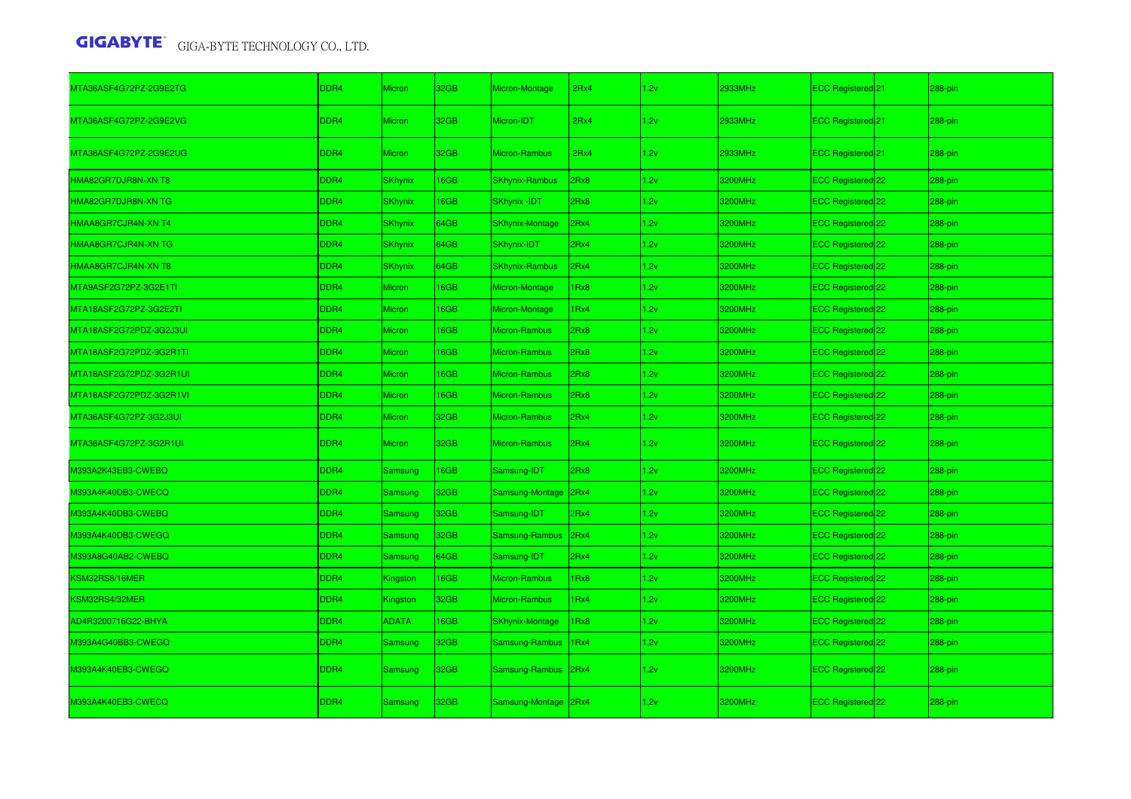| MTA36ASF4G72PZ-2G9E2TG  | DDR4             | <b>Micron</b>  | 32GB        | Micron-Montage         | 2Rx4  | 1.2v | 2933MHz | ECC Registered 21            | 288-pin |
|-------------------------|------------------|----------------|-------------|------------------------|-------|------|---------|------------------------------|---------|
| MTA36ASF4G72PZ-2G9E2VG  | DDR4             | <b>Micron</b>  | 32GB        | Micron-IDT             | 2Rx4  | 1.2v | 2933MHz | ECC Registered 21            | 288-pin |
| MTA36ASF4G72PZ-2G9E2UG  | DDR <sub>4</sub> | Micron         | 32GB        | Micron-Rambus          | 2Rx4  | 1.2v | 2933MHz | ECC Registered <sup>21</sup> | 288-pin |
| HMA82GR7DJR8N-XN T8     | DDR4             | <b>SKhynix</b> | <b>I6GB</b> | <b>SKhynix-Rambus</b>  | 2Rx8  | 1.2v | 3200MHz | ECC Registered 22            | 288-pin |
| HMA82GR7DJR8N-XN TG     | DDR4             | <b>SKhynix</b> | <b>I6GB</b> | SKhynix-IDT            | 2Rx8  | 1.2v | 3200MHz | ECC Registered 22            | 288-pin |
| HMAA8GR7CJR4N-XN T4     | DDR4             | <b>SKhynix</b> | 64GB        | <b>SKhynix-Montage</b> | 2Rx4  | 1.2v | 3200MHz | ECC Registered 22            | 288-pin |
| HMAA8GR7CJR4N-XN TG     | DDR4             | <b>SKhynix</b> | 64GB        | SKhynix-IDT            | 2Rx4  | 1.2v | 3200MHz | ECC Registered 22            | 288-pin |
| HMAA8GR7CJR4N-XN T8     | DDR4             | <b>SKhynix</b> | 64GB        | <b>SKhynix-Rambus</b>  | 2Rx4  | 1.2v | 3200MHz | ECC Registered 22            | 288-pin |
| MTA9ASF2G72PZ-3G2E1TI   | DDR4             | Micron         | 16GB        | Micron-Montage         | Rx8   | 1.2v | 3200MHz | ECC Registered 22            | 288-pin |
| MTA18ASF2G72PZ-3G2E2TI  | DDR4             | <b>Micron</b>  | <b>I6GB</b> | Micron-Montage         | Rx4   | 1.2v | 3200MHz | ECC Registered 22            | 288-pin |
| MTA18ASF2G72PDZ-3G2J3UI | DDR4             | <b>Micron</b>  | <b>I6GB</b> | Micron-Rambus          | 2Rx8  | 1.2v | 3200MHz | ECC Registered 22            | 288-pin |
| MTA18ASF2G72PDZ-3G2R1TI | DDR4             | <b>Micron</b>  | <b>I6GB</b> | <b>Micron-Rambus</b>   | 2Rx8  | 1.2v | 3200MHz | ECC Registered 22            | 288-pin |
| MTA18ASF2G72PDZ-3G2R1UI | DDR4             | <b>Micron</b>  | <b>I6GB</b> | Micron-Rambus          | 2Rx8  | 1.2v | 3200MHz | ECC Registered 22            | 288-pin |
| MTA18ASF2G72PDZ-3G2R1VI | DDR4             | <b>Micron</b>  | <b>I6GB</b> | Micron-Rambus          | BxR!  | 1.2v | 3200MHz | ECC Registered 22            | 288-pin |
| MTA36ASF4G72PZ-3G2J3UI  | DDR4             | <b>Micron</b>  | 32GB        | Micron-Rambus          | 2Rx4  | 1.2v | 3200MHz | ECC Registered 22            | 288-pin |
| MTA36ASF4G72PZ-3G2R1UI  | DDR4             | <b>Micron</b>  | 32GB        | Micron-Rambus          | 2Rx4  | 1.2v | 3200MHz | ECC Registered 22            | 288-pin |
| M393A2K43EB3-CWEBQ      | DDR4             | Samsung        | IGGB        | Samsung-IDT            | 2Rx8  | 1.2v | 3200MHz | ECC Registered 22            | 288-pin |
| M393A4K40DB3-CWECQ      | DDR4             | Samsung        | 32GB        | Samsung-Montage        | 2Rx4  | 1.2v | 3200MHz | ECC Registered 22            | 288-pin |
| M393A4K40DB3-CWEBQ      | DDR4             | <b>Samsung</b> | 32GB        | Samsung-IDT            | Rx4   | 1.2v | 3200MHz | ECC Registered 22            | 288-pin |
| M393A4K40DB3-CWEGQ      | DDR4             | Samsung        | 32GB        | Samsung-Rambus         | 2Rx4  | 1.2v | 3200MHz | ECC Registered 22            | 288-pin |
| M393A8G40AB2-CWEBQ      | DDR4             | Samsung        | 64GB        | Samsung-IDT            | 2Rx4  | 1.2v | 3200MHz | ECC Registered 22            | 288-pin |
| KSM32RS8/16MER          | DDR4             | Kingston       | <b>I6GB</b> | Micron-Rambus          | IRx8  | 1.2v | 3200MHz | ECC Registered 22            | 288-pin |
| KSM32RS4/32MER          | DDR4             | Kingston       | 32GB        | Micron-Rambus          | IRx4  | 1.2v | 3200MHz | ECC Registered 22            | 288-pin |
| AD4R3200716G22-BHYA     | DDR4             | <b>ADATA</b>   | <b>I6GB</b> | <b>SKhynix-Montage</b> | IRx8  | 1.2v | 3200MHz | ECC Registered 22            | 288-pin |
| M393A4G40BB3-CWEGQ      | DDR4             | Samsung        | 32GB        | Samsung-Rambus         | 1Rx4  | 1.2v | 3200MHz | ECC Registered 22            | 288-pin |
| M393A4K40EB3-CWEGQ      | DDR4             | Samsung        | 32GB        | Samsung-Rambus         | l2Rx4 | 1.2v | 3200MHz | ECC Registered 22            | 288-pin |
| M393A4K40EB3-CWECQ      | DDR4             | Samsung        | 32GB        | Samsung-Montage   2Rx4 |       | 1.2v | 3200MHz | ECC Registered 22            | 288-pin |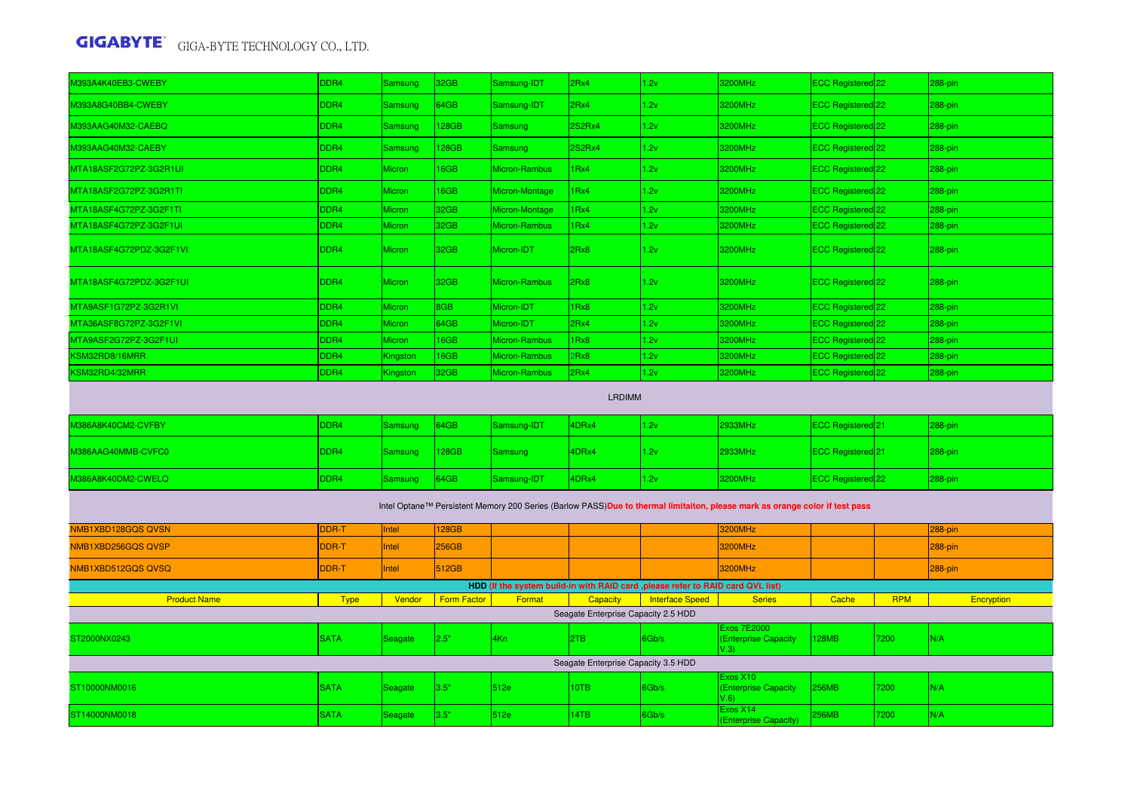| 0393A4K40EB3-CWEBY                        | DDR4             | Samsung        | 32GB               | Samsung-IDT    | 2Rx4                                | 1.2v                                                                             | 3200MHz                                                                                                                     | ECC Registered 22            |            | 288-pin           |
|-------------------------------------------|------------------|----------------|--------------------|----------------|-------------------------------------|----------------------------------------------------------------------------------|-----------------------------------------------------------------------------------------------------------------------------|------------------------------|------------|-------------------|
| M393A8G40BB4-CWEBY                        | DDR4             | Samsung        | 64GB               | Samsung-IDT    | 2Rx4                                | 1.2v                                                                             | 3200MHz                                                                                                                     | ECC Registered 22            |            | 288-pin           |
| M393AAG40M32-CAEBQ                        | DDR4             | <b>Samsung</b> | 128GB              | <b>Samsung</b> | 2S2Rx4                              | 1.2v                                                                             | 3200MHz                                                                                                                     | ECC Registered 22            |            | 288-pin           |
| M393AAG40M32-CAEBY                        | DDR4             | Samsung        | 128GB              | Samsung        | 2S2Rx4                              | 1.2v                                                                             | 3200MHz                                                                                                                     | ECC Registered 22            |            | 288-pin           |
| MTA18ASF2G72PZ-3G2R1UI                    | DDR4             | Micron         | 16GB               | Micron-Rambus  | IRx4                                | 1.2v                                                                             | 3200MHz                                                                                                                     | ECC Registered 22            |            | 288-pin           |
| MTA18ASF2G72PZ-3G2R1TI                    | DDR4             | Micron         | 16GB               | Micron-Montage | IRx4                                | 1.2v                                                                             | 3200MHz                                                                                                                     | ECC Registered 22            |            | 288-pin           |
| MTA18ASF4G72PZ-3G2F1TI                    | DDR4             | <b>Micron</b>  | 32GB               | Micron-Montage | 1Rx4                                | 1.2v                                                                             | 3200MHz                                                                                                                     | ECC Registered 22            |            | 288-pin           |
| MTA18ASF4G72PZ-3G2F1UI                    | DDR4             | <b>Micron</b>  | 32GB               | Micron-Rambus  | 1 <sub>Rx4</sub>                    | 1.2v                                                                             | 3200MHz                                                                                                                     | ECC Registered 22            |            | 288-pin           |
| MTA18ASF4G72PDZ-3G2F1VI                   | DDR4             | <b>Micron</b>  | 32GB               | Micron-IDT     | 2Rx8                                | 1.2v                                                                             | 3200MHz                                                                                                                     | ECC Registered <sup>22</sup> |            | 288-pin           |
| MTA18ASF4G72PDZ-3G2F1UI                   | DDR4             | Micron         | 32GB               | Micron-Rambus  | 2Rx8                                | 1.2v                                                                             | 3200MHz                                                                                                                     | ECC Registered 22            |            | 288-pin           |
| MTA9ASF1G72PZ-3G2R1VI                     | DDR4             | Micron         | 8GB                | Micron-IDT     | 1Rx8                                | 1.2v                                                                             | 3200MHz                                                                                                                     | ECC Registered 22            |            | 288-pin           |
| MTA36ASF8G72PZ-3G2F1VI                    | DDR <sub>4</sub> | <b>Micron</b>  | 64GB               | Micron-IDT     | 2Rx4                                | 1.2v                                                                             | 3200MHz                                                                                                                     | ECC Registered 22            |            | 288-pin           |
| MTA9ASF2G72PZ-3G2F1UI                     | DDR4             | Micron         | 16GB               | Micron-Rambus  | 1Rx8                                | 1.2v                                                                             | 3200MHz                                                                                                                     | ECC Registered 22            |            | 288-pin           |
| <b>(SM32RD8/16MRR</b>                     | DDR4             | Kingston       | 16GB               | Micron-Rambus  | 2Rx8                                | 1.2v                                                                             | 3200MHz                                                                                                                     | ECC Registered 22            |            | 288-pin           |
| <b><sm32rd4 32mrr<="" b=""></sm32rd4></b> | DDR4             | Kingston       | 32GB               | Micron-Rambus  | 2Rx4                                | 1.2v                                                                             | 3200MHz                                                                                                                     | ECC Registered <sup>22</sup> |            | 288-pin           |
|                                           |                  |                |                    |                | <b>LRDIMM</b>                       |                                                                                  |                                                                                                                             |                              |            |                   |
|                                           |                  |                |                    |                |                                     |                                                                                  |                                                                                                                             |                              |            |                   |
| V386A8K40CM2-CVFBY                        | DDR4             | Samsung        | 64GB               | Samsung-IDT    | 4DRx4                               | 1.2v                                                                             | 2933MHz                                                                                                                     | ECC Registered 21            |            | 288-pin           |
| M386AAG40MMB-CVFC0                        | DDR4             | Samsung        | 128GB              | Samsung        | 4DRx4                               | 1.2v                                                                             | 2933MHz                                                                                                                     | ECC Registered 21            |            | 288-pin           |
| M386A8K40DM2-CWELQ                        | DDR4             | <b>Samsung</b> | 64GB               | Samsung-IDT    | 4DRx4                               | 1.2v                                                                             | 3200MHz                                                                                                                     | ECC Registered 22            |            | 288-pin           |
|                                           |                  |                |                    |                |                                     |                                                                                  | Intel Optane™ Persistent Memory 200 Series (Barlow PASS)Due to thermal limitaiton, please mark as orange color if test pass |                              |            |                   |
| NMB1XBD128GQS QVSN                        | <b>DDR-T</b>     | Intel          | 128GB              |                |                                     |                                                                                  | <b>3200MHz</b>                                                                                                              |                              |            | 288-pin           |
| NMB1XBD256GQS QVSP                        | DDR-T            | Intel          | 256GB              |                |                                     |                                                                                  | 3200MHz                                                                                                                     |                              |            | 288-pin           |
| NMB1XBD512GQS QVSQ                        | DDR-T            | Intel          | 512GB              |                |                                     |                                                                                  | <b>3200MHz</b>                                                                                                              |                              |            | $288$ -pin        |
|                                           |                  |                |                    |                |                                     | HDD (If the system build-in with RAID card , please refer to RAID card QVL list) |                                                                                                                             |                              |            |                   |
| <b>Product Name</b>                       | <b>Type</b>      | Vendor         | <b>Form Factor</b> | Format         | Capacity                            | <b>Interface Speed</b>                                                           | <b>Series</b>                                                                                                               | Cache                        | <b>RPM</b> | <b>Encryption</b> |
|                                           |                  |                |                    |                | Seagate Enterprise Capacity 2.5 HDD |                                                                                  |                                                                                                                             |                              |            |                   |
| ST2000NX0243                              | <b>SATA</b>      | Seagate        | 2.5"               | 4Kn            | 2TB                                 | 6Gb/s                                                                            | <b>Exos 7E2000</b><br>(Enterprise Capacity<br>V.3)                                                                          | <b>128MB</b>                 | 7200       | N/A               |
|                                           |                  |                |                    |                | Seagate Enterprise Capacity 3.5 HDD |                                                                                  |                                                                                                                             |                              |            |                   |
| ST10000NM0016                             | <b>SATA</b>      | Seagate        | 3.5"               | 512e           | 10TB                                | 6Gb/s                                                                            | Exos X10<br>(Enterprise Capacity<br>V.6                                                                                     | <b>256MB</b>                 | 7200       | N/A               |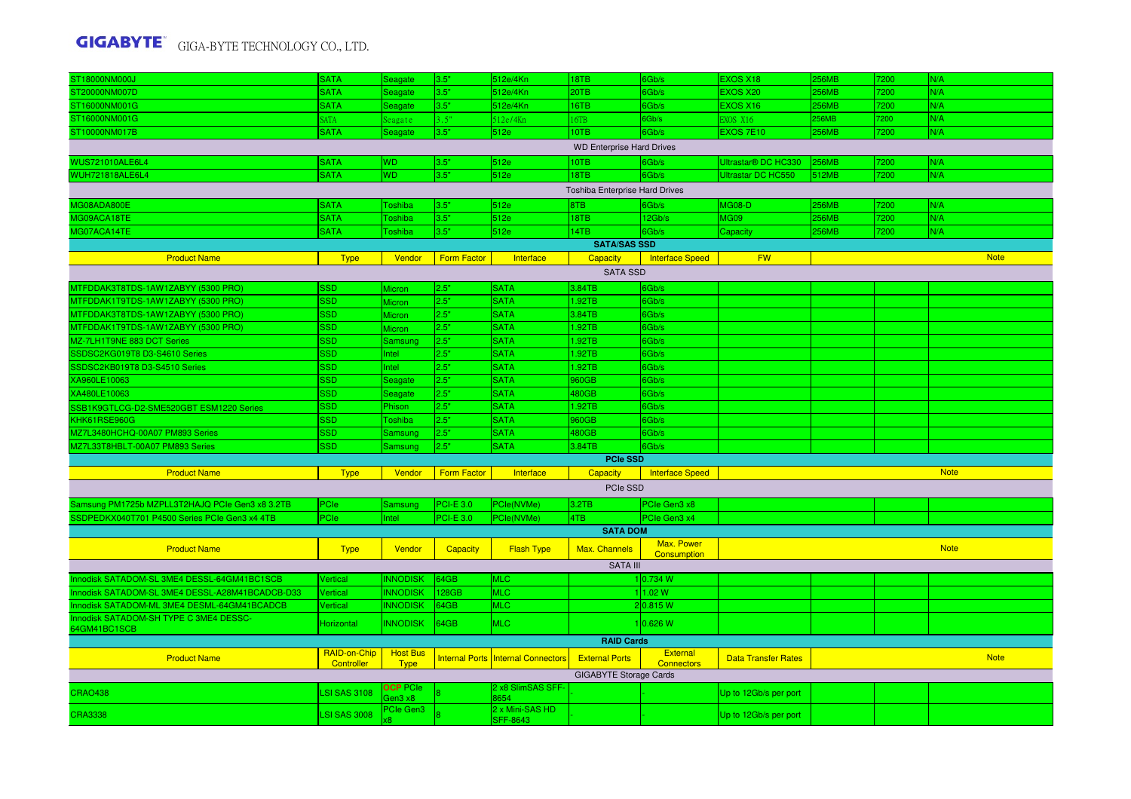| ST18000NM000J                                          | <b>SATA</b>                | Seagate                        | 3.5"               | 512e/4Kn                                  | 18TB                             | 6Gb/s                                | <b>EXOS X18</b>                 | <b>256MB</b> | 7200 | N/A         |
|--------------------------------------------------------|----------------------------|--------------------------------|--------------------|-------------------------------------------|----------------------------------|--------------------------------------|---------------------------------|--------------|------|-------------|
| ST20000NM007D                                          | <b>SATA</b>                | Seagate                        | 3.5"               | 512e/4Kn                                  | 20TB                             | 6Gb/s                                | <b>EXOS X20</b>                 | <b>256MB</b> | 7200 | N/A         |
| ST16000NM001G                                          | <b>SATA</b>                | Seagate                        | 3.5"               | 512e/4Kn                                  | 16TB                             | 6Gb/s                                | EXOS X <sub>16</sub>            | <b>256MB</b> | 7200 | N/A         |
| ST16000NM001G                                          | <b>SATA</b>                | Seagate                        | 3.5"               | 512e/4Kn                                  | 6TB                              | 6Gb/s                                | <b>EXOS X16</b>                 | 256MB        | 200  | N/A         |
| ST10000NM017B                                          | <b>SATA</b>                | Seagate                        | 3.5"               | 512e                                      | <b>ATO1</b>                      | 6Gb/s                                | <b>EXOS 7E10</b>                | 256MB        | 7200 | N/A         |
|                                                        |                            |                                |                    |                                           | <b>WD Enterprise Hard Drives</b> |                                      |                                 |              |      |             |
| <b>WUS721010ALE6L4</b>                                 | <b>SATA</b>                | <b>WD</b>                      | 3.5"               | 512e                                      | 10TB                             | 6Gb/s                                | Ultrastar <sup>®</sup> DC HC330 | <b>256MB</b> | 7200 | N/A         |
| <b>WUH721818ALE6L4</b>                                 | <b>SATA</b>                | <b>WD</b>                      | 3.5"               | 512e                                      | 18TB                             | 6Gb/s                                | Ultrastar DC HC550              | 512MB        | 7200 | N/A         |
|                                                        |                            |                                |                    |                                           | Toshiba Enterprise Hard Drives   |                                      |                                 |              |      |             |
| MG08ADA800E                                            | <b>SATA</b>                | Toshiba                        | 3.5"               | 512e                                      | 8TB                              | 6Gb/s                                | MG08-D                          | <b>256MB</b> | 7200 | N/A         |
| MG09ACA18TE                                            | <b>SATA</b>                | Toshiba                        | 3.5"               | 512e                                      | 18TB                             | 12Gb/s                               | <b>MG09</b>                     | <b>256MB</b> | 7200 | N/A         |
| MG07ACA14TE                                            | <b>SATA</b>                | Toshiba                        | 3.5"               | 512e                                      | 14TB                             | 6Gb/s                                | Capacity                        | <b>256MB</b> | 7200 | N/A         |
|                                                        |                            |                                |                    |                                           | <b>SATA/SAS SSD</b>              |                                      |                                 |              |      |             |
| <b>Product Name</b>                                    | <b>Type</b>                | Vendor                         | <b>Form Factor</b> | Interface                                 | <b>Capacity</b>                  | <b>Interface Speed</b>               | <b>FW</b>                       |              |      | <b>Note</b> |
|                                                        |                            |                                |                    |                                           | <b>SATA SSD</b>                  |                                      |                                 |              |      |             |
| MTFDDAK3T8TDS-1AW1ZABYY (5300 PRO)                     | SSD.                       | Micron                         | 2.5"               | <b>SATA</b>                               | 3.84TB                           | 6Gb/s                                |                                 |              |      |             |
| MTFDDAK1T9TDS-1AW1ZABYY (5300 PRO)                     | <b>SSD</b>                 | Micron                         | 2.5"               | <b>SATA</b>                               | 1.92TB                           | 6Gb/s                                |                                 |              |      |             |
| MTFDDAK3T8TDS-1AW1ZABYY (5300 PRO)                     | <b>SSD</b>                 | Micron                         | 2.5"               | <b>SATA</b>                               | 3.84TB                           | 6Gb/s                                |                                 |              |      |             |
| MTFDDAK1T9TDS-1AW1ZABYY (5300 PRO)                     | <b>SSD</b>                 | Micron                         | 2.5"               | <b>SATA</b>                               | 1.92TB                           | 6Gb/s                                |                                 |              |      |             |
| MZ-7LH1T9NE 883 DCT Series                             | <b>SSD</b>                 | Samsung                        | 2.5"               | <b>SATA</b>                               | 1.92TB                           | 6Gb/s                                |                                 |              |      |             |
| SSDSC2KG019T8 D3-S4610 Series                          | <b>SSD</b>                 | Intel                          | 2.5"               | <b>SATA</b>                               | 1.92TB                           | 6Gb/s                                |                                 |              |      |             |
| SSDSC2KB019T8 D3-S4510 Series                          | <b>SSD</b>                 | <b>Intel</b>                   | 2.5"               | <b>SATA</b>                               | 1.92TB                           | 6Gb/s                                |                                 |              |      |             |
| XA960LE10063                                           | <b>SSD</b>                 | Seagate                        | 2.5"               | <b>SATA</b>                               | 960GB                            | 6Gb/s                                |                                 |              |      |             |
| XA480LE10063                                           | <b>SSD</b>                 | Seagate                        | 2.5"               | <b>SATA</b>                               | 480GB                            | 6Gb/s                                |                                 |              |      |             |
| SSB1K9GTLCG-D2-SME520GBT ESM1220 Series                | <b>SSD</b>                 | Phison                         | 2.5"               | <b>SATA</b>                               | 1.92TB                           | 6Gb/s                                |                                 |              |      |             |
| KHK61RSE960G                                           | <b>SSD</b>                 | Toshiba                        | 2.5"               | <b>SATA</b>                               | 960GB                            | 6Gb/s                                |                                 |              |      |             |
| MZ7L3480HCHQ-00A07 PM893 Series                        | <b>SSD</b>                 | Samsung                        | 2.5"               | <b>SATA</b>                               | 480GB                            | 6Gb/s                                |                                 |              |      |             |
| MZ7L33T8HBLT-00A07 PM893 Series                        | <b>SSD</b>                 | Samsung                        | 2.5"               | <b>SATA</b>                               | 3.84TB                           | 6Gb/s                                |                                 |              |      |             |
|                                                        |                            |                                |                    |                                           | <b>PCIe SSD</b>                  |                                      |                                 |              |      |             |
| <b>Product Name</b>                                    | <b>Type</b>                | Vendor                         | <b>Form Factor</b> | Interface                                 | Capacity                         | <b>Interface Speed</b>               |                                 |              |      | <b>Note</b> |
|                                                        |                            |                                |                    |                                           | PCIe SSD                         |                                      |                                 |              |      |             |
| Samsung PM1725b MZPLL3T2HAJQ PCIe Gen3 x8 3.2TB        | <b>PCle</b>                | Samsung                        | $PCI-E$ 3.0        | PCle(NVMe)                                | 3.2TB                            | PCIe Gen3 x8                         |                                 |              |      |             |
| SDPEDKX040T701 P4500 Series PCIe Gen3 x4 4TB           | PCIe                       | Intel                          | <b>PCI-E 3.0</b>   | <sup>2</sup> Cle(NVMe)                    | 4TB                              | PCIe Gen3 x4                         |                                 |              |      |             |
|                                                        |                            |                                |                    |                                           | <b>SATA DOM</b>                  |                                      |                                 |              |      |             |
| <b>Product Name</b>                                    | <b>Type</b>                | Vendor                         | Capacity           | <b>Flash Type</b>                         | Max. Channels                    | Max. Power<br><b>Consumption</b>     |                                 |              |      | <b>Note</b> |
|                                                        |                            |                                |                    |                                           | <b>SATA III</b>                  |                                      |                                 |              |      |             |
| Innodisk SATADOM-SL 3ME4 DESSL-64GM41BC1SCB            | Vertical                   | <b>INNODISK</b>                | 64GB               | <b>MLC</b>                                |                                  | 10.734 W                             |                                 |              |      |             |
| nnodisk SATADOM-SL 3ME4 DESSL-A28M41BCADCB-D33         | Vertical                   | <b>INNODISK</b>                | 128GB              | <b>MLC</b>                                |                                  | 11.02W                               |                                 |              |      |             |
| Innodisk SATADOM-ML 3ME4 DESML-64GM41BCADCB            | Vertical                   | <b>INNODISK</b>                | 64GB               | <b>MLC</b>                                |                                  | 2 0.815 W                            |                                 |              |      |             |
| Innodisk SATADOM-SH TYPE C 3ME4 DESSC-<br>64GM41BC1SCB | Horizontal                 | <b>INNODISK</b>                | 64GB               | MLC                                       |                                  | 1 0.626 W                            |                                 |              |      |             |
|                                                        |                            |                                |                    |                                           | <b>RAID Cards</b>                |                                      |                                 |              |      |             |
| <b>Product Name</b>                                    | RAID-on-Chip<br>Controller | <b>Host Bus</b><br><b>Type</b> |                    | <b>Internal Ports Internal Connectors</b> | <b>External Ports</b>            | <b>External</b><br><b>Connectors</b> | <b>Data Transfer Rates</b>      |              |      | <b>Note</b> |
|                                                        |                            |                                |                    |                                           | <b>GIGABYTE Storage Cards</b>    |                                      |                                 |              |      |             |
| CRAO438                                                | <b>LSI SAS 3108</b>        | <b>OCP PCIe</b>                |                    | 2 x8 SlimSAS SFF-                         |                                  |                                      | Up to 12Gb/s per port           |              |      |             |
|                                                        |                            | Gen3 x8                        |                    | 3654<br>2 x Mini-SAS HD                   |                                  |                                      |                                 |              |      |             |
| <b>CRA3338</b>                                         | <b>LSI SAS 3008</b>        | <b>Cle Gen3</b>                |                    | SFF-8643                                  |                                  |                                      | Up to 12Gb/s per port           |              |      |             |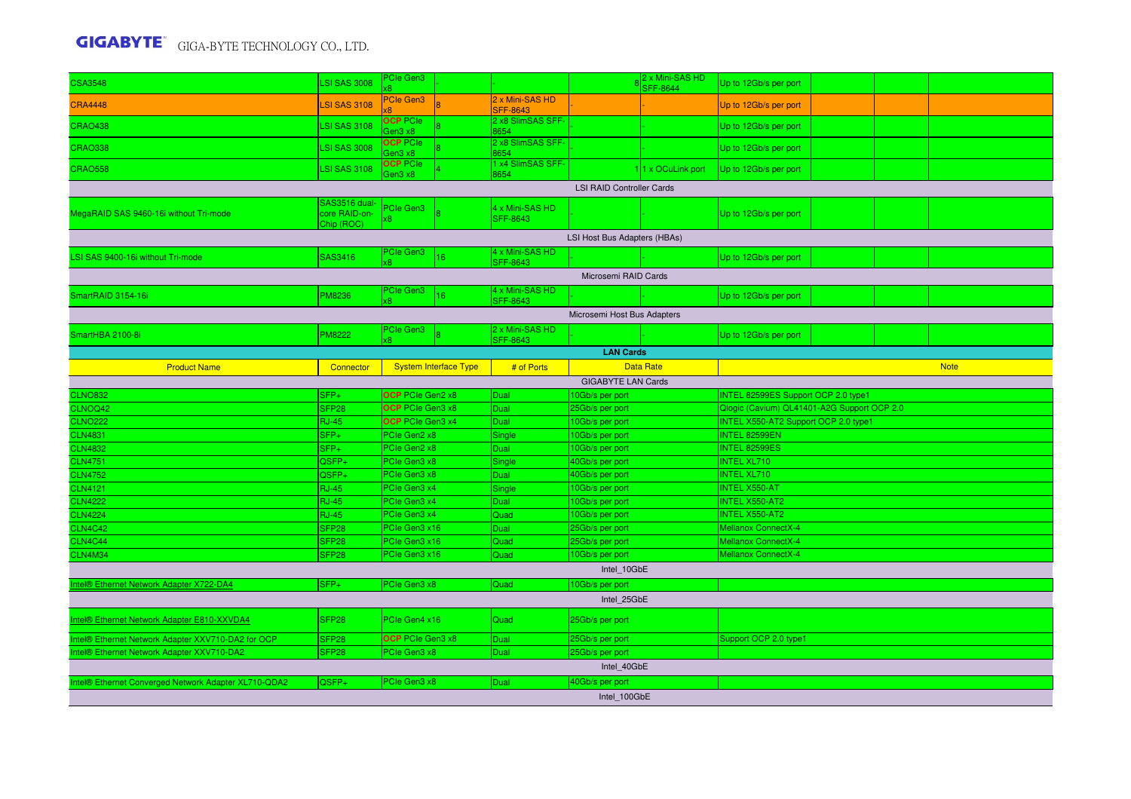| <b>CSA3548</b>                                                   | <b>LSI SAS 3008</b>                          | PCIe Gen3                  |                              |                                    |                                  | 2 x Mini-SAS HD<br><b>SFF-8644</b> | Up to 12Gb/s per port                       |  |             |
|------------------------------------------------------------------|----------------------------------------------|----------------------------|------------------------------|------------------------------------|----------------------------------|------------------------------------|---------------------------------------------|--|-------------|
| <b>CRA4448</b>                                                   | <b>LSI SAS 3108</b>                          | <b>PCIe Gen3</b>           |                              | 2 x Mini-SAS HD<br><b>SFF-8643</b> |                                  |                                    | Up to 12Gb/s per port                       |  |             |
| <b>CRAO438</b>                                                   | <b>LSI SAS 3108</b>                          | <b>OCP PCIe</b><br>Gen3 x8 |                              | 2 x8 SlimSAS SFF-<br>8654          |                                  |                                    | Up to 12Gb/s per port                       |  |             |
| <b>CRAO338</b>                                                   | <b>LSI SAS 3008</b>                          | <b>OCP PCIe</b><br>aen3 x8 |                              | 2 x8 SlimSAS SFF-<br>8654          |                                  |                                    | Up to 12Gb/s per port                       |  |             |
| <b>CRAO558</b>                                                   | <b>LSI SAS 3108</b>                          | <b>OCP PCIe</b><br>Gen3 x8 |                              | 1 x4 SlimSAS SFF-<br>8654          |                                  | 11 x OCuLink port                  | Up to 12Gb/s per port                       |  |             |
|                                                                  |                                              |                            |                              |                                    | <b>LSI RAID Controller Cards</b> |                                    |                                             |  |             |
| MegaRAID SAS 9460-16i without Tri-mode                           | SAS3516 dual-<br>core RAID-on-<br>Chip (ROC) | PCIe Gen3                  |                              | 4 x Mini-SAS HD<br><b>SFF-8643</b> |                                  |                                    | Up to 12Gb/s per port                       |  |             |
|                                                                  |                                              |                            |                              |                                    | LSI Host Bus Adapters (HBAs)     |                                    |                                             |  |             |
| LSI SAS 9400-16i without Tri-mode                                | SAS3416                                      | PCIe Gen3                  | 16                           | 4 x Mini-SAS HD<br><b>SFF-8643</b> |                                  |                                    | Up to 12Gb/s per port                       |  |             |
|                                                                  |                                              |                            |                              |                                    | Microsemi RAID Cards             |                                    |                                             |  |             |
| SmartRAID 3154-16i                                               | PM8236                                       | PCIe Gen3                  | 16                           | 4 x Mini-SAS HD<br><b>SFF-8643</b> |                                  |                                    | Up to 12Gb/s per port                       |  |             |
|                                                                  |                                              |                            |                              |                                    | Microsemi Host Bus Adapters      |                                    |                                             |  |             |
| SmartHBA 2100-8i                                                 | <b>PM8222</b>                                | PCIe Gen3<br>x8            |                              | 2 x Mini-SAS HD                    |                                  |                                    | Up to 12Gb/s per port                       |  |             |
|                                                                  |                                              |                            |                              | <b>SFF-8643</b>                    | <b>LAN Cards</b>                 |                                    |                                             |  |             |
| <b>Product Name</b>                                              | Connector                                    |                            | <b>System Interface Type</b> | # of Ports                         |                                  | <b>Data Rate</b>                   |                                             |  | <b>Note</b> |
|                                                                  |                                              |                            |                              |                                    | <b>GIGABYTE LAN Cards</b>        |                                    |                                             |  |             |
| <b>CLNO832</b>                                                   | $SFP+$                                       | <b>OCP</b> PCIe Gen2 x8    |                              | Dual                               | 10Gb/s per port                  |                                    | INTEL 82599ES Support OCP 2.0 type1         |  |             |
| CLNOQ42                                                          | SFP <sub>28</sub>                            | OCP PCIe Gen3 x8           |                              | Dual                               | 25Gb/s per port                  |                                    | Qlogic (Cavium) QL41401-A2G Support OCP 2.0 |  |             |
| <b>CLNO222</b>                                                   | <b>RJ-45</b>                                 | OCP PCIe Gen3 x4           |                              | Dual                               | 10Gb/s per port                  |                                    | INTEL X550-AT2 Support OCP 2.0 type1        |  |             |
| <b>CLN4831</b>                                                   | $SFP+$                                       | PCIe Gen2 x8               |                              | Single                             | 10Gb/s per port                  |                                    | INTEL 82599EN                               |  |             |
| <b>CLN4832</b>                                                   | $SFP+$                                       | PCIe Gen2 x8               |                              | Dual                               | 10Gb/s per port                  |                                    | INTEL 82599ES                               |  |             |
| <b>CLN4751</b>                                                   | $QSFP+$                                      | PCIe Gen3 x8               |                              | Single                             | 40Gb/s per port                  |                                    | <b>INTEL XL710</b>                          |  |             |
| <b>CLN4752</b>                                                   | QSFP+                                        | PCIe Gen3 x8               |                              | Dual                               | 40Gb/s per port                  |                                    | <b>INTEL XL710</b>                          |  |             |
| <b>CLN4121</b>                                                   | <b>RJ-45</b>                                 | PCle Gen3 x4               |                              | Single                             | 10Gb/s per port                  |                                    | <b>INTEL X550-AT</b>                        |  |             |
| <b>CLN4222</b>                                                   | <b>RJ-45</b>                                 | PCIe Gen3 x4               |                              | Dual                               | 10Gb/s per port                  |                                    | <b>INTEL X550-AT2</b>                       |  |             |
| <b>CLN4224</b>                                                   | <b>RJ-45</b>                                 | PCIe Gen3 x4               |                              | Quad                               | 10Gb/s per port                  |                                    | INTEL X550-AT2                              |  |             |
| <b>CLN4C42</b>                                                   | SFP <sub>28</sub>                            | PCIe Gen3 x16              |                              | Dual                               | 25Gb/s per port                  |                                    | Mellanox ConnectX-4                         |  |             |
| <b>CLN4C44</b>                                                   | SFP <sub>28</sub>                            | PCIe Gen3 x16              |                              | Quad                               | 25Gb/s per port                  |                                    | Mellanox ConnectX-4                         |  |             |
| CLN4M34                                                          | SFP <sub>28</sub>                            | PCIe Gen3 x16              |                              | Quad                               | 10Gb/s per port                  |                                    | <b>Mellanox ConnectX-4</b>                  |  |             |
|                                                                  |                                              |                            |                              |                                    | Intel 10GbE                      |                                    |                                             |  |             |
| Intel® Ethernet Network Adapter X722-DA4                         | SFP+                                         | PCIe Gen3 x8               |                              | Quad                               | 10Gb/s per port                  |                                    |                                             |  |             |
|                                                                  |                                              |                            |                              |                                    | Intel 25GbE                      |                                    |                                             |  |             |
| Intel® Ethernet Network Adapter E810-XXVDA4                      | SFP <sub>28</sub>                            | PCIe Gen4 x16              |                              | Quad                               | 25Gb/s per port                  |                                    |                                             |  |             |
| Intel® Ethernet Network Adapter XXV710-DA2 for OCP               |                                              |                            |                              | Dual                               | 25Gb/s per port                  |                                    | Support OCP 2.0 type1                       |  |             |
|                                                                  | SFP <sub>28</sub>                            | OCP PCIe Gen3 x8           |                              |                                    |                                  |                                    |                                             |  |             |
| Intel® Ethernet Network Adapter XXV710-DA2                       | SFP <sub>28</sub>                            | PCle Gen3 x8               |                              | Dual                               | 25Gb/s per port                  |                                    |                                             |  |             |
|                                                                  |                                              |                            |                              |                                    | Intel 40GbE                      |                                    |                                             |  |             |
| Intel <sup>®</sup> Ethernet Converged Network Adapter XL710-QDA2 | QSFP+                                        | PCIe Gen3 x8               |                              | Dual                               | 40Gb/s per port                  |                                    |                                             |  |             |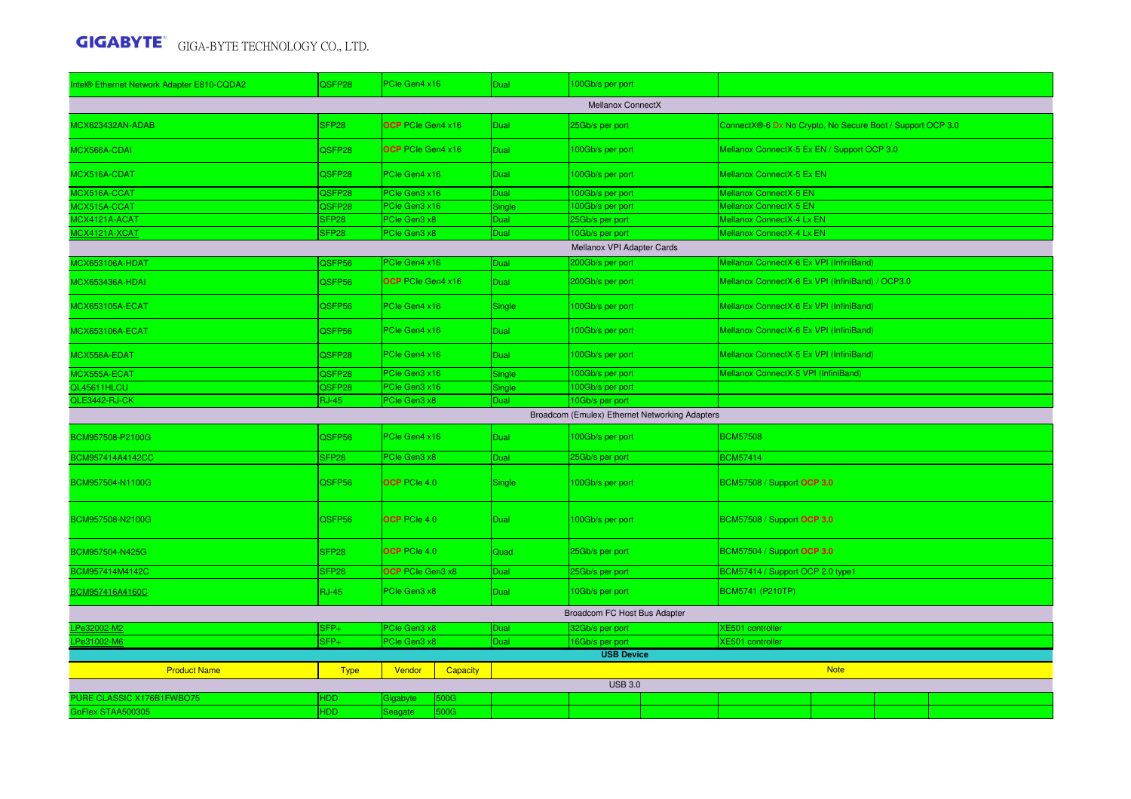| ntel® Ethernet Network Adapter E810-CQDA2      | QSFP28            | PCIe Gen4 x16            |                     | Dual   | 100Gb/s per port                               |                                                            |  |  |  |  |
|------------------------------------------------|-------------------|--------------------------|---------------------|--------|------------------------------------------------|------------------------------------------------------------|--|--|--|--|
|                                                |                   |                          |                     |        | Mellanox ConnectX                              |                                                            |  |  |  |  |
| <b>MCX623432AN-ADAB</b>                        | SFP <sub>28</sub> | OCP PCIe Gen4 x16        |                     | Dual   | 25Gb/s per port                                | ConnectX®-6 Dx No Crypto, No Secure Boot / Support OCP 3.0 |  |  |  |  |
| MCX566A-CDAI                                   | QSFP28            | OCP PCIe Gen4 x16        |                     | Dual   | 100Gb/s per port                               | Mellanox ConnectX-5 Ex EN / Support OCP 3.0                |  |  |  |  |
| MCX516A-CDAT                                   | QSFP28            | PCIe Gen4 x16            |                     | Dual   | 100Gb/s per port                               | Mellanox ConnectX-5 Ex EN                                  |  |  |  |  |
| MCX516A-CCAT                                   | QSFP28            | PCIe Gen3 x16            |                     | Dual   | 100Gb/s per port                               | Mellanox ConnectX-5 EN                                     |  |  |  |  |
| MCX515A-CCAT                                   | QSFP28            | PCIe Gen3 x16            |                     | Single | 100Gb/s per port                               | Mellanox ConnectX-5 EN                                     |  |  |  |  |
| MCX4121A-ACAT                                  | SFP <sub>28</sub> | PCIe Gen3 x8             |                     | Dual   | 25Gb/s per port                                | Mellanox ConnectX-4 Lx EN                                  |  |  |  |  |
| MCX4121A-XCAT                                  | SFP <sub>28</sub> | PCIe Gen3 x8             |                     | Dual   | 10Gb/s per port                                | Mellanox ConnectX-4 Lx EN                                  |  |  |  |  |
|                                                |                   |                          |                     |        | Mellanox VPI Adapter Cards                     |                                                            |  |  |  |  |
| <b>MCX653106A-HDAT</b>                         | QSFP56            | PCIe Gen4 x16            |                     | Dual   | 200Gb/s per port                               | Mellanox ConnectX-6 Ex VPI (InfiniBand)                    |  |  |  |  |
| MCX653436A-HDAI                                | QSFP56            | <b>OCP</b> PCIe Gen4 x16 |                     | Dual   | 200Gb/s per port                               | Mellanox ConnectX-6 Ex VPI (InfiniBand) / OCP3.0           |  |  |  |  |
| MCX653105A-ECAT                                | QSFP56            | PCIe Gen4 x16            |                     | Single | 100Gb/s per port                               | Mellanox ConnectX-6 Ex VPI (InfiniBand)                    |  |  |  |  |
| <b>MCX653106A-ECAT</b>                         | QSFP56            | PCIe Gen4 x16            |                     | Dual   | 100Gb/s per port                               | Mellanox ConnectX-6 Ex VPI (InfiniBand)                    |  |  |  |  |
| MCX556A-EDAT                                   | QSFP28            | PCIe Gen4 x16            |                     | Dual   | 100Gb/s per port                               | <b>Mellanox ConnectX-5 Ex VPI (InfiniBand)</b>             |  |  |  |  |
| MCX555A-ECAT                                   | QSFP28            | PCIe Gen3 x16            |                     | Single | 100Gb/s per port                               | Mellanox ConnectX-5 VPI (InfiniBand)                       |  |  |  |  |
| QL45611HLCU                                    | QSFP28            | PCIe Gen3 x16            |                     | Single | 100Gb/s per port                               |                                                            |  |  |  |  |
| QLE3442-RJ-CK                                  | <b>RJ-45</b>      | PCIe Gen3 x8             |                     | Dual   | 10Gb/s per port                                |                                                            |  |  |  |  |
|                                                |                   |                          |                     |        | Broadcom (Emulex) Ethernet Networking Adapters |                                                            |  |  |  |  |
| BCM957508-P2100G                               | QSFP56            | PCIe Gen4 x16            |                     | Dual   | 100Gb/s per port                               | <b>BCM57508</b>                                            |  |  |  |  |
|                                                |                   |                          |                     |        |                                                |                                                            |  |  |  |  |
| BCM957414A4142CC                               | SFP <sub>28</sub> | PCIe Gen3 x8             |                     | Dual   | 25Gb/s per port                                | <b>BCM57414</b>                                            |  |  |  |  |
| BCM957504-N1100G                               | QSFP56            | <b>OCP</b> PCIe 4.0      |                     | Single | 100Gb/s per port                               | BCM57508 / Support OCP 3.0                                 |  |  |  |  |
| BCM957508-N2100G                               | QSFP56            | <b>OCP</b> PCIe 4.0      |                     | Dual   | 100Gb/s per port                               | BCM57508 / Support OCP 3.0                                 |  |  |  |  |
| BCM957504-N425G                                | SFP <sub>28</sub> | <b>OCP</b> PCIe 4.0      |                     | Quad   | 25Gb/s per port                                | BCM57504 / Support OCP 3.0                                 |  |  |  |  |
| BCM957414M4142C                                | SFP <sub>28</sub> | OCP PCIe Gen3 x8         |                     | Dual   | 25Gb/s per port                                | BCM57414 / Support OCP 2.0 type1                           |  |  |  |  |
| BCM957416A4160C                                | <b>RJ-45</b>      | PCIe Gen3 x8             |                     | Dual   | 10Gb/s per port                                | <b>BCM5741 (P210TP)</b>                                    |  |  |  |  |
|                                                |                   |                          |                     |        | Broadcom FC Host Bus Adapter                   |                                                            |  |  |  |  |
| LPe32002-M2                                    | SFP+              | PCIe Gen3 x8             |                     | Dual   | 32Gb/s per port                                | <b>KE501</b> controller                                    |  |  |  |  |
| LPe31002-M6                                    | SFP+              | PCIe Gen3 x8             |                     | Dual   | 16Gb/s per port                                | <b>KE501</b> controller                                    |  |  |  |  |
|                                                |                   |                          |                     |        | <b>USB Device</b>                              |                                                            |  |  |  |  |
|                                                |                   |                          |                     |        |                                                |                                                            |  |  |  |  |
| <b>Product Name</b>                            | <b>Type</b>       | Vendor                   | Capacity            |        |                                                | <b>Note</b>                                                |  |  |  |  |
|                                                |                   |                          |                     |        | <b>USB 3.0</b>                                 |                                                            |  |  |  |  |
| PURE CLASSIC X176B1FWBO75<br>GoFlex STAA500305 | HDD<br>HDD        | Gigabyte<br>Seagate      | <b>500G</b><br>500G |        |                                                |                                                            |  |  |  |  |